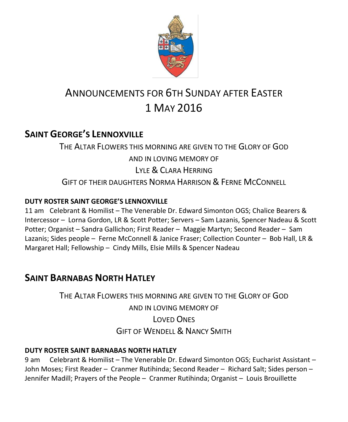

# ANNOUNCEMENTS FOR 6TH SUNDAY AFTER EASTER 1 MAY 2016

# **SAINT GEORGE'S LENNOXVILLE**

THE ALTAR FLOWERS THIS MORNING ARE GIVEN TO THE GLORY OF GOD AND IN LOVING MEMORY OF LYLE & CLARA HERRING GIFT OF THEIR DAUGHTERS NORMA HARRISON & FERNE MCCONNELL

#### **DUTY ROSTER SAINT GEORGE'S LENNOXVILLE**

11 am Celebrant & Homilist – The Venerable Dr. Edward Simonton OGS; Chalice Bearers & Intercessor – Lorna Gordon, LR & Scott Potter; Servers – Sam Lazanis, Spencer Nadeau & Scott Potter; Organist – Sandra Gallichon; First Reader – Maggie Martyn; Second Reader – Sam Lazanis; Sides people – Ferne McConnell & Janice Fraser; Collection Counter – Bob Hall, LR & Margaret Hall; Fellowship – Cindy Mills, Elsie Mills & Spencer Nadeau

# **SAINT BARNABAS NORTH HATLEY**

THE ALTAR FLOWERS THIS MORNING ARE GIVEN TO THE GLORY OF GOD AND IN LOVING MEMORY OF LOVED ONES GIFT OF WENDELL & NANCY SMITH

#### **DUTY ROSTER SAINT BARNABAS NORTH HATLEY**

9 am Celebrant & Homilist – The Venerable Dr. Edward Simonton OGS; Eucharist Assistant – John Moses; First Reader – Cranmer Rutihinda; Second Reader – Richard Salt; Sides person – Jennifer Madill; Prayers of the People – Cranmer Rutihinda; Organist – Louis Brouillette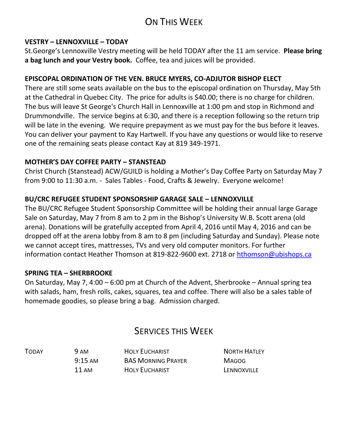# ON THIS WEEK

#### **VESTRY – LENNOXVILLE – TODAY**

St.George's Lennoxville Vestry meeting will be held TODAY after the 11 am service. **Please bring a bag lunch and your Vestry book.** Coffee, tea and juices will be provided.

#### **EPISCOPAL ORDINATION OF THE VEN. BRUCE MYERS, CO-ADJUTOR BISHOP ELECT**

There are still some seats available on the bus to the episcopal ordination on Thursday, May 5th at the Cathedral in Quebec City. The price for adults is \$40.00; there is no charge for children. The bus will leave St George's Church Hall in Lennoxville at 1:00 pm and stop in Richmond and Drummondville. The service begins at 6:30, and there is a reception following so the return trip will be late in the evening. We require prepayment as we must pay for the bus before it leaves. You can deliver your payment to Kay Hartwell. If you have any questions or would like to reserve one of the remaining seats please contact Kay at 819 349-1971.

#### **MOTHER'S DAY COFFEE PARTY – STANSTEAD**

Christ Church (Stanstead) ACW/GUILD is holding a Mother's Day Coffee Party on Saturday May 7 from 9:00 to 11:30 a.m. - Sales Tables - Food, Crafts & Jewelry. Everyone welcome!

#### **BU/CRC REFUGEE STUDENT SPONSORSHIP GARAGE SALE – LENNOXVILLE**

The BU/CRC Refugee Student Sponsorship Committee will be holding their annual large Garage Sale on Saturday, May 7 from 8 am to 2 pm in the Bishop's University W.B. Scott arena (old arena). Donations will be gratefully accepted from April 4, 2016 until May 4, 2016 and can be dropped off at the arena lobby from 8 am to 8 pm (including Saturday and Sunday). Please note we cannot accept tires, mattresses, TVs and very old computer monitors. For further information contact Heather Thomson at 819-822-9600 ext. 2718 or [hthomson@ubishops.ca](https://webmail.ubishops.ca/owa/redir.aspx?REF=Me5rsmB_ft3ki6-OrTIQVNrKAPe_ylbyz3jK4hycUBnD6P34dFnTCAFodHRwczovL3dlYm1haWwudWJpc2hvcHMuY2Evb3dhL3JlZGlyLmFzcHg_UkVGPUZMbm1vY1FIb3MxYVNTNl9pemxvV3pYei12bjk0OGh1RDBOb25XOGl3bUMxS2dTT0NsalRDQUZ0WVdsc2RHODZhSFJvYjIxemIyNUFkV0pwYzJodmNITXVZMkUu)

#### **SPRING TEA – SHERBROOKE**

On Saturday, May 7, 4:00 – 6:00 pm at Church of the Advent, Sherbrooke – Annual spring tea with salads, ham, fresh rolls, cakes, squares, tea and coffee. There will also be a sales table of homemade goodies, so please bring a bag. Admission charged.

## SERVICES THIS WEEK

TODAY 9 AM HOLY EUCHARIST NORTH HATLEY 9:15 AM BAS MORNING PRAYER MAGOG 11 AM HOLY FUCHARIST LENNOXVILLE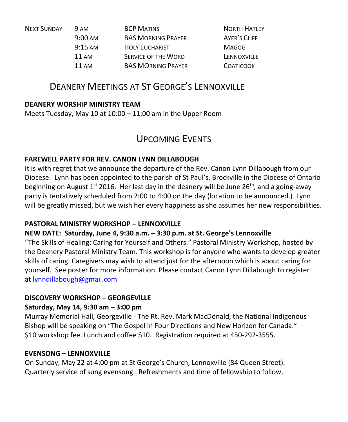| <b>NEXT SUNDAY</b> | 9 AM              | <b>BCP MATINS</b>          | <b>NORTH HATLEY</b> |
|--------------------|-------------------|----------------------------|---------------------|
|                    | $9:00 \text{ AM}$ | <b>BAS MORNING PRAYER</b>  | <b>AYER'S CLIFF</b> |
|                    | $9:15 \text{ AM}$ | <b>HOLY EUCHARIST</b>      | <b>MAGOG</b>        |
|                    | 11 AM             | <b>SERVICE OF THE WORD</b> | LENNOXVILLE         |
|                    | 11 AM             | <b>BAS MORNING PRAYER</b>  | <b>COATICOOK</b>    |

## DEANERY MEETINGS AT ST GEORGE'S LENNOXVILLE

#### **DEANERY WORSHIP MINISTRY TEAM**

Meets Tuesday, May 10 at 10:00 – 11:00 am in the Upper Room

### UPCOMING EVENTS

#### **FAREWELL PARTY FOR REV. CANON LYNN DILLABOUGH**

It is with regret that we announce the departure of the Rev. Canon Lynn Dillabough from our Diocese. Lynn has been appointed to the parish of St Paul's, Brockville in the Diocese of Ontario beginning on August  $1^{st}$  2016. Her last day in the deanery will be June  $26^{th}$ , and a going-away party is tentatively scheduled from 2:00 to 4:00 on the day (location to be announced.) Lynn will be greatly missed, but we wish her every happiness as she assumes her new responsibilities.

#### **PASTORAL MINISTRY WORKSHOP – LENNOXVILLE**

#### **NEW DATE: Saturday, June 4, 9:30 a.m. – 3:30 p.m. at St. George's Lennoxville**

"The Skills of Healing: Caring for Yourself and Others." Pastoral Ministry Workshop, hosted by the Deanery Pastoral Ministry Team. This workshop is for anyone who wants to develop greater skills of caring. Caregivers may wish to attend just for the afternoon which is about caring for yourself. See poster for more information. Please contact Canon Lynn Dillabough to register at [lynndillabough@gmail.com](https://webmail.ubishops.ca/owa/redir.aspx?REF=I6dyd5yngSmYqYpBD3Z6CoI9tDjv3VCrrEZ7iwAWC0jD6P34dFnTCAFodHRwczovL3dlYm1haWwudWJpc2hvcHMuY2Evb3dhL3JlZGlyLmFzcHg_U1VSTD1oZGpZVVQ3V0NVTllxRlppam96a25NSFdKM2FSeTZ2c3FUenJpbHA1Nlp0UDNfMnMtQlhUQ0cwQVlRQnBBR3dBZEFCdkFEb0FiQUI1QUc0QWJnQmtBR2tBYkFCc0FHRUFZZ0J2QUhVQVp3Qm9BRUFBWndCdEFHRUFhUUJzQUM0QVl3QnZBRzBBJlVSTD1tYWlsdG8lM2FseW5uZGlsbGFib3VnaCU0MGdtYWlsLmNvbQ..)

#### **DISCOVERY WORKSHOP – GEORGEVILLE**

#### **Saturday, May 14, 9:30 am – 3:00 pm**

Murray Memorial Hall, Georgeville - The Rt. Rev. Mark MacDonald, the National Indigenous Bishop will be speaking on "The Gospel in Four Directions and New Horizon for Canada." \$10 workshop fee. Lunch and coffee \$10. Registration required at 450-292-3555.

#### **EVENSONG – LENNOXVILLE**

On Sunday, May 22 at 4:00 pm at St George's Church, Lennoxville (84 Queen Street). Quarterly service of sung evensong. Refreshments and time of fellowship to follow.